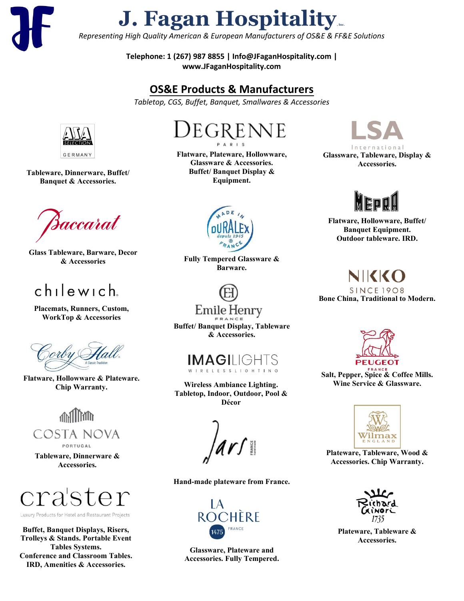**J. Fagan Hospitality** 

*Representing High Quality American & European Manufacturers of OS&E & FF&E Solutions*

Telephone: 1 (267) 987 8855 | Info@JFaganHospitality.com | www.JFaganHospitality.com

## OS&E Products **& Manufacturers**

*Tabletop, CGS, Buffet, Banquet, Smallwares & Accessories*

## $ch$ lewich

Placemats, Runners, Custom**, WorkTop & Accessories**

Flatware, Hollowware & Plateware. Chip Warranty.



PORTUGAL

Tableware, Dinnerware & Accessories.



Luxury Products for Hotel and Restaurant Projects

Buffet Displays, Risers, Trolleys & Stands. Portable Event Tables Systems. Conference and Classroom Tables. IRD, Amenities & Accessories.



Fully Tempered Glassware & Barware.



Flatware, Plateware, Hollowware, Glassware & Accessories. Buffet/ Banquet Display & Equipment.



Buffet/ Banquet Display, Tableware & Accessories.



Glassware, Tableware, Display & Accessories.



Flatware, Hollowware, Buffet/ Banquet Equipment. Outdoor tableware. IRD.

NIKKO **SINCE 1908** 

Bone China, Traditional to Modern.

Glassware, beverageware & Accessories

**HUSPITALITY BRANDS** 

Hand-made **ceramic** plateware**.**



Salt, Pepper, Spice & Coffee Mills. Wine Service & Glassware.



Glassware, Plateware and Accessories. Fully Tempered.



Plateware, Tableware, Wood & Accessories. Chip Warranty.

For a complete list of brands/ partners, please visit our website - www.JHcicpJqurkvckv{.eq o